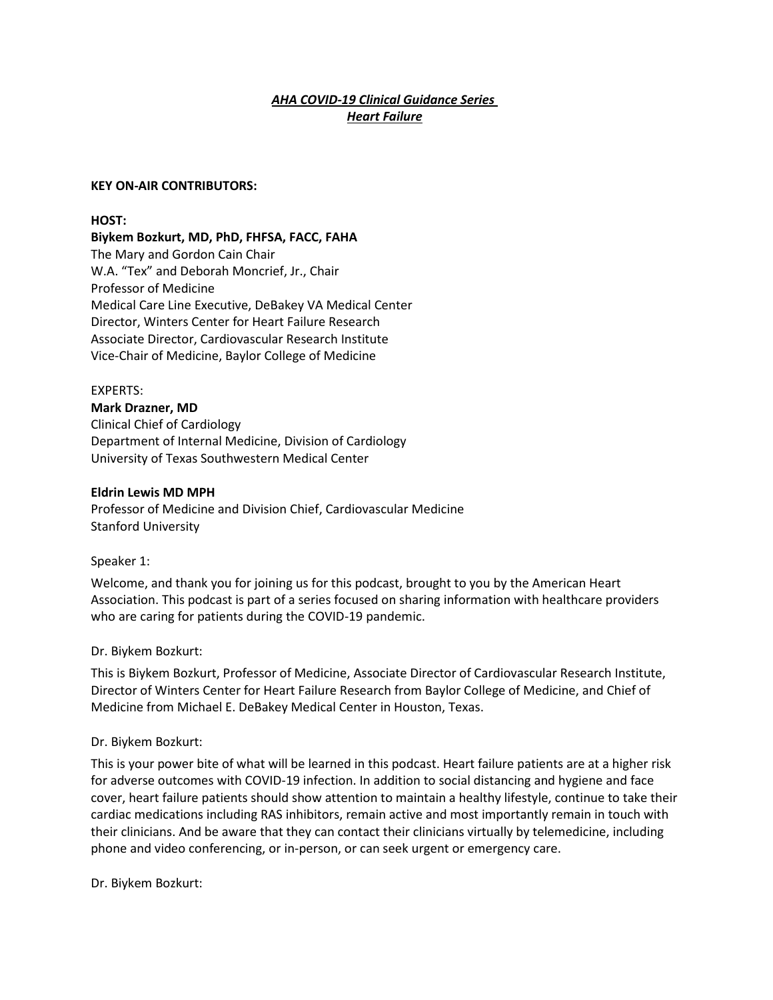## *AHA COVID-19 Clinical Guidance Series Heart Failure*

#### **KEY ON-AIR CONTRIBUTORS:**

#### **HOST:**

**Biykem Bozkurt, MD, PhD, FHFSA, FACC, FAHA** The Mary and Gordon Cain Chair W.A. "Tex" and Deborah Moncrief, Jr., Chair Professor of Medicine Medical Care Line Executive, DeBakey VA Medical Center Director, Winters Center for Heart Failure Research Associate Director, Cardiovascular Research Institute Vice-Chair of Medicine, Baylor College of Medicine

#### EXPERTS:

**Mark Drazner, MD** Clinical Chief of Cardiology Department of Internal Medicine, Division of Cardiology University of Texas Southwestern Medical Center

#### **Eldrin Lewis MD MPH**

Professor of Medicine and Division Chief, Cardiovascular Medicine Stanford University

Speaker 1:

Welcome, and thank you for joining us for this podcast, brought to you by the American Heart Association. This podcast is part of a series focused on sharing information with healthcare providers who are caring for patients during the COVID-19 pandemic.

#### Dr. Biykem Bozkurt:

This is Biykem Bozkurt, Professor of Medicine, Associate Director of Cardiovascular Research Institute, Director of Winters Center for Heart Failure Research from Baylor College of Medicine, and Chief of Medicine from Michael E. DeBakey Medical Center in Houston, Texas.

#### Dr. Biykem Bozkurt:

This is your power bite of what will be learned in this podcast. Heart failure patients are at a higher risk for adverse outcomes with COVID-19 infection. In addition to social distancing and hygiene and face cover, heart failure patients should show attention to maintain a healthy lifestyle, continue to take their cardiac medications including RAS inhibitors, remain active and most importantly remain in touch with their clinicians. And be aware that they can contact their clinicians virtually by telemedicine, including phone and video conferencing, or in-person, or can seek urgent or emergency care.

Dr. Biykem Bozkurt: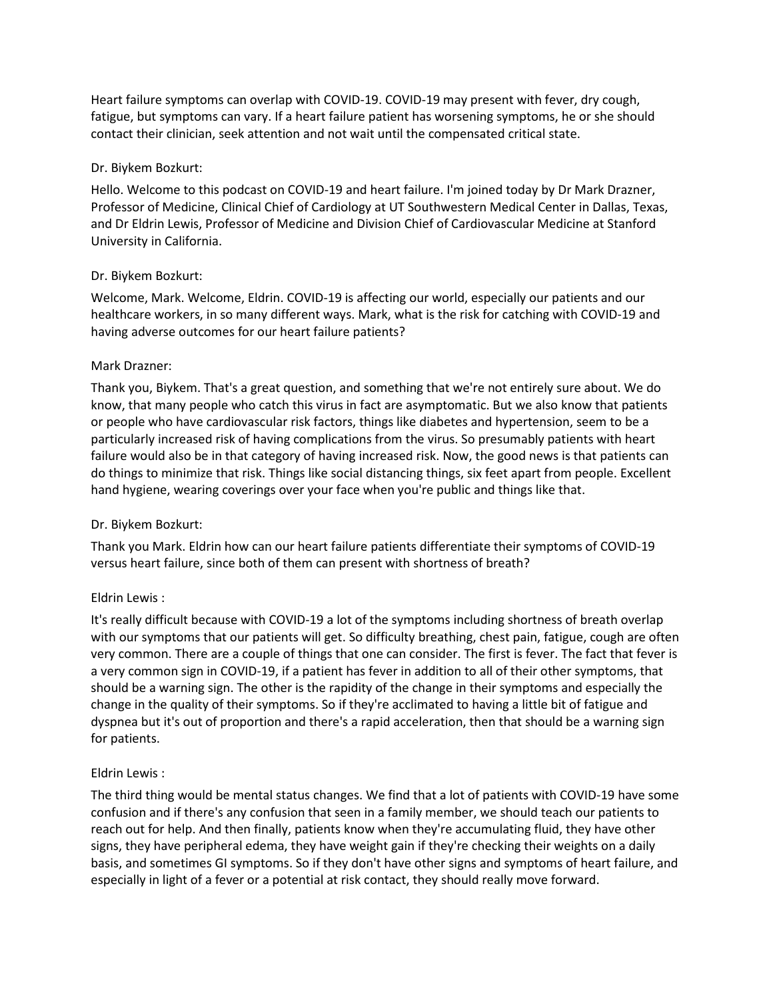Heart failure symptoms can overlap with COVID-19. COVID-19 may present with fever, dry cough, fatigue, but symptoms can vary. If a heart failure patient has worsening symptoms, he or she should contact their clinician, seek attention and not wait until the compensated critical state.

## Dr. Biykem Bozkurt:

Hello. Welcome to this podcast on COVID-19 and heart failure. I'm joined today by Dr Mark Drazner, Professor of Medicine, Clinical Chief of Cardiology at UT Southwestern Medical Center in Dallas, Texas, and Dr Eldrin Lewis, Professor of Medicine and Division Chief of Cardiovascular Medicine at Stanford University in California.

## Dr. Biykem Bozkurt:

Welcome, Mark. Welcome, Eldrin. COVID-19 is affecting our world, especially our patients and our healthcare workers, in so many different ways. Mark, what is the risk for catching with COVID-19 and having adverse outcomes for our heart failure patients?

#### Mark Drazner:

Thank you, Biykem. That's a great question, and something that we're not entirely sure about. We do know, that many people who catch this virus in fact are asymptomatic. But we also know that patients or people who have cardiovascular risk factors, things like diabetes and hypertension, seem to be a particularly increased risk of having complications from the virus. So presumably patients with heart failure would also be in that category of having increased risk. Now, the good news is that patients can do things to minimize that risk. Things like social distancing things, six feet apart from people. Excellent hand hygiene, wearing coverings over your face when you're public and things like that.

## Dr. Biykem Bozkurt:

Thank you Mark. Eldrin how can our heart failure patients differentiate their symptoms of COVID-19 versus heart failure, since both of them can present with shortness of breath?

## Eldrin Lewis :

It's really difficult because with COVID-19 a lot of the symptoms including shortness of breath overlap with our symptoms that our patients will get. So difficulty breathing, chest pain, fatigue, cough are often very common. There are a couple of things that one can consider. The first is fever. The fact that fever is a very common sign in COVID-19, if a patient has fever in addition to all of their other symptoms, that should be a warning sign. The other is the rapidity of the change in their symptoms and especially the change in the quality of their symptoms. So if they're acclimated to having a little bit of fatigue and dyspnea but it's out of proportion and there's a rapid acceleration, then that should be a warning sign for patients.

## Eldrin Lewis :

The third thing would be mental status changes. We find that a lot of patients with COVID-19 have some confusion and if there's any confusion that seen in a family member, we should teach our patients to reach out for help. And then finally, patients know when they're accumulating fluid, they have other signs, they have peripheral edema, they have weight gain if they're checking their weights on a daily basis, and sometimes GI symptoms. So if they don't have other signs and symptoms of heart failure, and especially in light of a fever or a potential at risk contact, they should really move forward.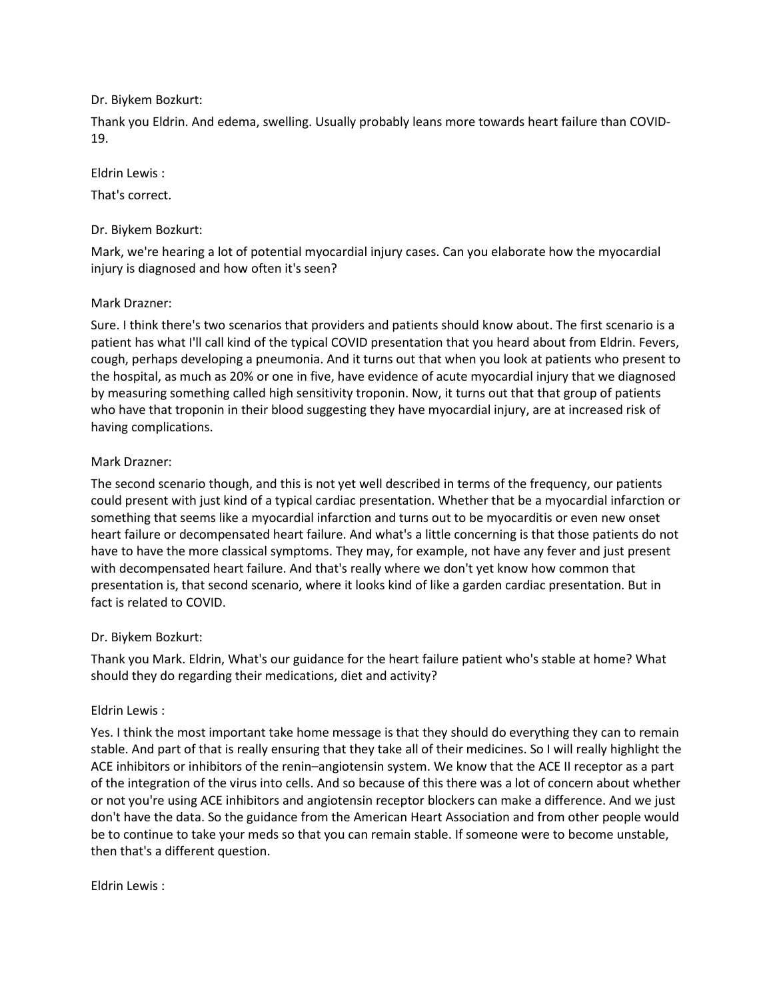## Dr. Biykem Bozkurt:

Thank you Eldrin. And edema, swelling. Usually probably leans more towards heart failure than COVID-19.

## Eldrin Lewis :

That's correct.

## Dr. Biykem Bozkurt:

Mark, we're hearing a lot of potential myocardial injury cases. Can you elaborate how the myocardial injury is diagnosed and how often it's seen?

## Mark Drazner:

Sure. I think there's two scenarios that providers and patients should know about. The first scenario is a patient has what I'll call kind of the typical COVID presentation that you heard about from Eldrin. Fevers, cough, perhaps developing a pneumonia. And it turns out that when you look at patients who present to the hospital, as much as 20% or one in five, have evidence of acute myocardial injury that we diagnosed by measuring something called high sensitivity troponin. Now, it turns out that that group of patients who have that troponin in their blood suggesting they have myocardial injury, are at increased risk of having complications.

# Mark Drazner:

The second scenario though, and this is not yet well described in terms of the frequency, our patients could present with just kind of a typical cardiac presentation. Whether that be a myocardial infarction or something that seems like a myocardial infarction and turns out to be myocarditis or even new onset heart failure or decompensated heart failure. And what's a little concerning is that those patients do not have to have the more classical symptoms. They may, for example, not have any fever and just present with decompensated heart failure. And that's really where we don't yet know how common that presentation is, that second scenario, where it looks kind of like a garden cardiac presentation. But in fact is related to COVID.

## Dr. Biykem Bozkurt:

Thank you Mark. Eldrin, What's our guidance for the heart failure patient who's stable at home? What should they do regarding their medications, diet and activity?

## Eldrin Lewis :

Yes. I think the most important take home message is that they should do everything they can to remain stable. And part of that is really ensuring that they take all of their medicines. So I will really highlight the ACE inhibitors or inhibitors of the renin–angiotensin system. We know that the ACE II receptor as a part of the integration of the virus into cells. And so because of this there was a lot of concern about whether or not you're using ACE inhibitors and angiotensin receptor blockers can make a difference. And we just don't have the data. So the guidance from the American Heart Association and from other people would be to continue to take your meds so that you can remain stable. If someone were to become unstable, then that's a different question.

Eldrin Lewis :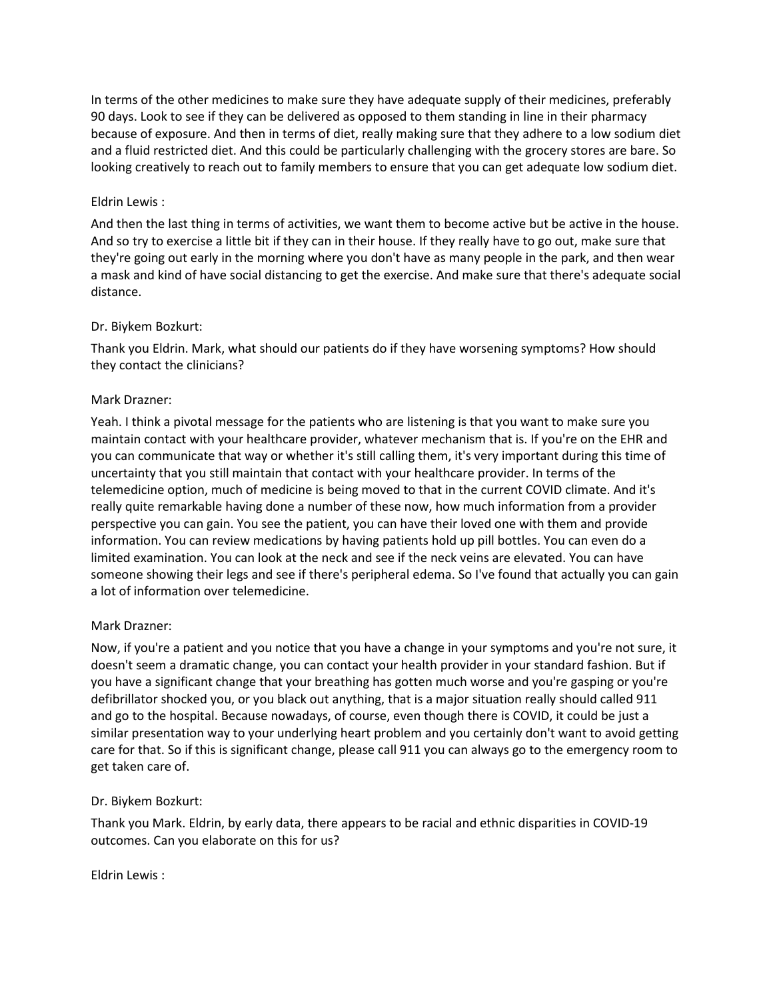In terms of the other medicines to make sure they have adequate supply of their medicines, preferably 90 days. Look to see if they can be delivered as opposed to them standing in line in their pharmacy because of exposure. And then in terms of diet, really making sure that they adhere to a low sodium diet and a fluid restricted diet. And this could be particularly challenging with the grocery stores are bare. So looking creatively to reach out to family members to ensure that you can get adequate low sodium diet.

## Eldrin Lewis :

And then the last thing in terms of activities, we want them to become active but be active in the house. And so try to exercise a little bit if they can in their house. If they really have to go out, make sure that they're going out early in the morning where you don't have as many people in the park, and then wear a mask and kind of have social distancing to get the exercise. And make sure that there's adequate social distance.

## Dr. Biykem Bozkurt:

Thank you Eldrin. Mark, what should our patients do if they have worsening symptoms? How should they contact the clinicians?

## Mark Drazner:

Yeah. I think a pivotal message for the patients who are listening is that you want to make sure you maintain contact with your healthcare provider, whatever mechanism that is. If you're on the EHR and you can communicate that way or whether it's still calling them, it's very important during this time of uncertainty that you still maintain that contact with your healthcare provider. In terms of the telemedicine option, much of medicine is being moved to that in the current COVID climate. And it's really quite remarkable having done a number of these now, how much information from a provider perspective you can gain. You see the patient, you can have their loved one with them and provide information. You can review medications by having patients hold up pill bottles. You can even do a limited examination. You can look at the neck and see if the neck veins are elevated. You can have someone showing their legs and see if there's peripheral edema. So I've found that actually you can gain a lot of information over telemedicine.

## Mark Drazner:

Now, if you're a patient and you notice that you have a change in your symptoms and you're not sure, it doesn't seem a dramatic change, you can contact your health provider in your standard fashion. But if you have a significant change that your breathing has gotten much worse and you're gasping or you're defibrillator shocked you, or you black out anything, that is a major situation really should called 911 and go to the hospital. Because nowadays, of course, even though there is COVID, it could be just a similar presentation way to your underlying heart problem and you certainly don't want to avoid getting care for that. So if this is significant change, please call 911 you can always go to the emergency room to get taken care of.

## Dr. Biykem Bozkurt:

Thank you Mark. Eldrin, by early data, there appears to be racial and ethnic disparities in COVID-19 outcomes. Can you elaborate on this for us?

Eldrin Lewis :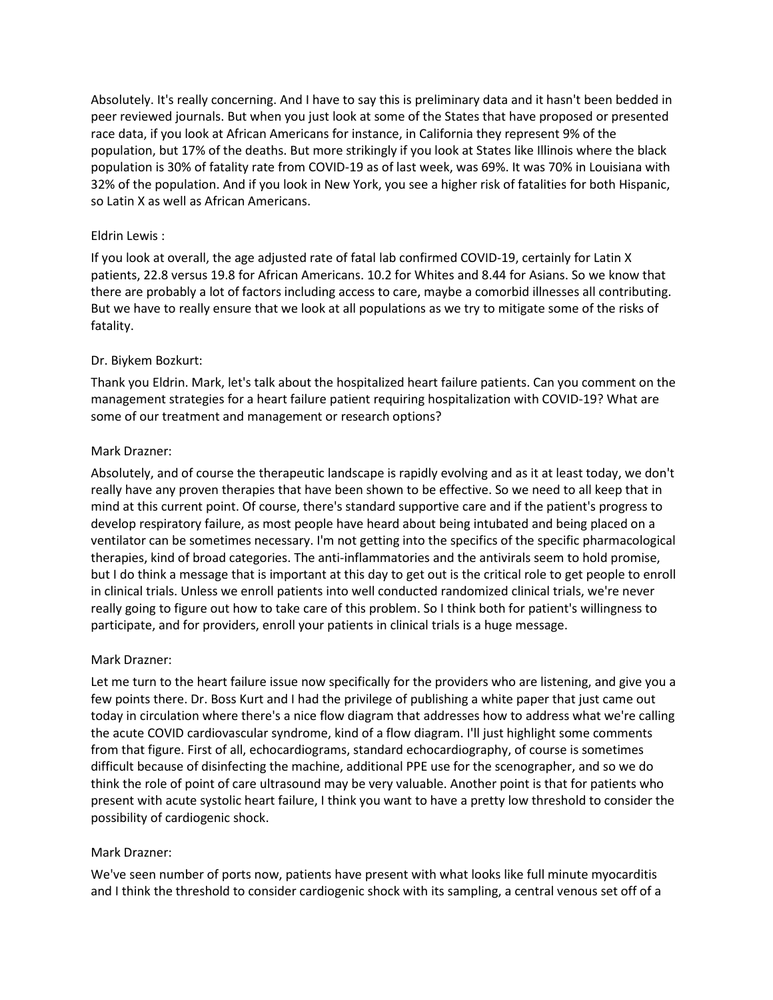Absolutely. It's really concerning. And I have to say this is preliminary data and it hasn't been bedded in peer reviewed journals. But when you just look at some of the States that have proposed or presented race data, if you look at African Americans for instance, in California they represent 9% of the population, but 17% of the deaths. But more strikingly if you look at States like Illinois where the black population is 30% of fatality rate from COVID-19 as of last week, was 69%. It was 70% in Louisiana with 32% of the population. And if you look in New York, you see a higher risk of fatalities for both Hispanic, so Latin X as well as African Americans.

## Eldrin Lewis :

If you look at overall, the age adjusted rate of fatal lab confirmed COVID-19, certainly for Latin X patients, 22.8 versus 19.8 for African Americans. 10.2 for Whites and 8.44 for Asians. So we know that there are probably a lot of factors including access to care, maybe a comorbid illnesses all contributing. But we have to really ensure that we look at all populations as we try to mitigate some of the risks of fatality.

#### Dr. Biykem Bozkurt:

Thank you Eldrin. Mark, let's talk about the hospitalized heart failure patients. Can you comment on the management strategies for a heart failure patient requiring hospitalization with COVID-19? What are some of our treatment and management or research options?

#### Mark Drazner:

Absolutely, and of course the therapeutic landscape is rapidly evolving and as it at least today, we don't really have any proven therapies that have been shown to be effective. So we need to all keep that in mind at this current point. Of course, there's standard supportive care and if the patient's progress to develop respiratory failure, as most people have heard about being intubated and being placed on a ventilator can be sometimes necessary. I'm not getting into the specifics of the specific pharmacological therapies, kind of broad categories. The anti-inflammatories and the antivirals seem to hold promise, but I do think a message that is important at this day to get out is the critical role to get people to enroll in clinical trials. Unless we enroll patients into well conducted randomized clinical trials, we're never really going to figure out how to take care of this problem. So I think both for patient's willingness to participate, and for providers, enroll your patients in clinical trials is a huge message.

#### Mark Drazner:

Let me turn to the heart failure issue now specifically for the providers who are listening, and give you a few points there. Dr. Boss Kurt and I had the privilege of publishing a white paper that just came out today in circulation where there's a nice flow diagram that addresses how to address what we're calling the acute COVID cardiovascular syndrome, kind of a flow diagram. I'll just highlight some comments from that figure. First of all, echocardiograms, standard echocardiography, of course is sometimes difficult because of disinfecting the machine, additional PPE use for the scenographer, and so we do think the role of point of care ultrasound may be very valuable. Another point is that for patients who present with acute systolic heart failure, I think you want to have a pretty low threshold to consider the possibility of cardiogenic shock.

#### Mark Drazner:

We've seen number of ports now, patients have present with what looks like full minute myocarditis and I think the threshold to consider cardiogenic shock with its sampling, a central venous set off of a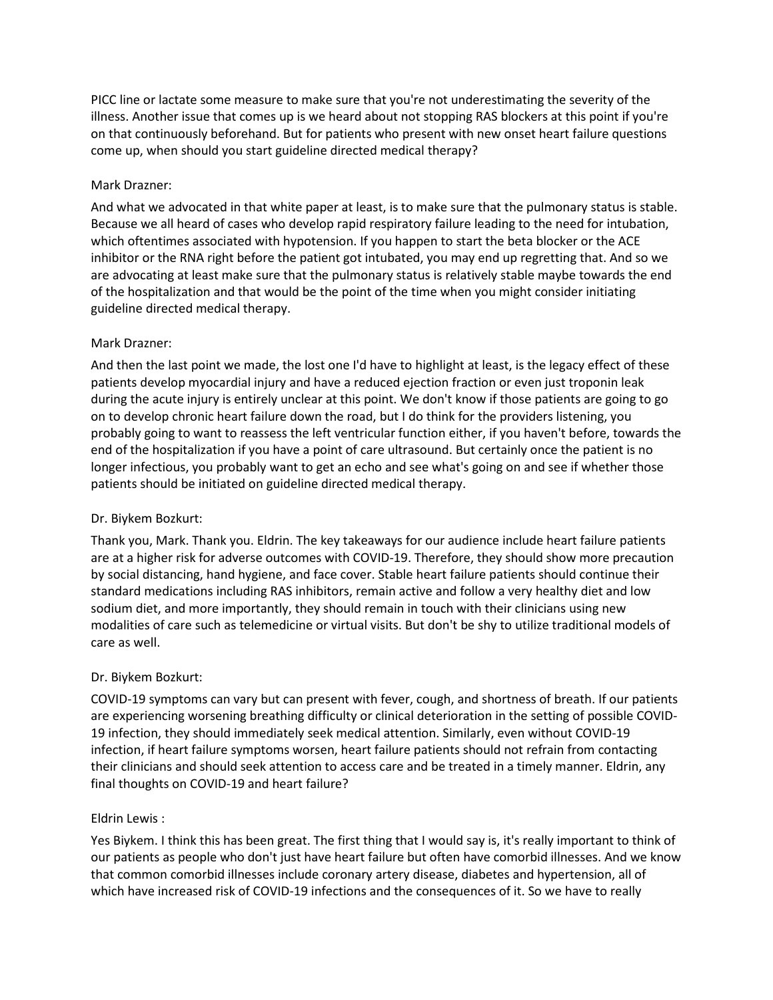PICC line or lactate some measure to make sure that you're not underestimating the severity of the illness. Another issue that comes up is we heard about not stopping RAS blockers at this point if you're on that continuously beforehand. But for patients who present with new onset heart failure questions come up, when should you start guideline directed medical therapy?

## Mark Drazner:

And what we advocated in that white paper at least, is to make sure that the pulmonary status is stable. Because we all heard of cases who develop rapid respiratory failure leading to the need for intubation, which oftentimes associated with hypotension. If you happen to start the beta blocker or the ACE inhibitor or the RNA right before the patient got intubated, you may end up regretting that. And so we are advocating at least make sure that the pulmonary status is relatively stable maybe towards the end of the hospitalization and that would be the point of the time when you might consider initiating guideline directed medical therapy.

## Mark Drazner:

And then the last point we made, the lost one I'd have to highlight at least, is the legacy effect of these patients develop myocardial injury and have a reduced ejection fraction or even just troponin leak during the acute injury is entirely unclear at this point. We don't know if those patients are going to go on to develop chronic heart failure down the road, but I do think for the providers listening, you probably going to want to reassess the left ventricular function either, if you haven't before, towards the end of the hospitalization if you have a point of care ultrasound. But certainly once the patient is no longer infectious, you probably want to get an echo and see what's going on and see if whether those patients should be initiated on guideline directed medical therapy.

## Dr. Biykem Bozkurt:

Thank you, Mark. Thank you. Eldrin. The key takeaways for our audience include heart failure patients are at a higher risk for adverse outcomes with COVID-19. Therefore, they should show more precaution by social distancing, hand hygiene, and face cover. Stable heart failure patients should continue their standard medications including RAS inhibitors, remain active and follow a very healthy diet and low sodium diet, and more importantly, they should remain in touch with their clinicians using new modalities of care such as telemedicine or virtual visits. But don't be shy to utilize traditional models of care as well.

# Dr. Biykem Bozkurt:

COVID-19 symptoms can vary but can present with fever, cough, and shortness of breath. If our patients are experiencing worsening breathing difficulty or clinical deterioration in the setting of possible COVID-19 infection, they should immediately seek medical attention. Similarly, even without COVID-19 infection, if heart failure symptoms worsen, heart failure patients should not refrain from contacting their clinicians and should seek attention to access care and be treated in a timely manner. Eldrin, any final thoughts on COVID-19 and heart failure?

## Eldrin Lewis :

Yes Biykem. I think this has been great. The first thing that I would say is, it's really important to think of our patients as people who don't just have heart failure but often have comorbid illnesses. And we know that common comorbid illnesses include coronary artery disease, diabetes and hypertension, all of which have increased risk of COVID-19 infections and the consequences of it. So we have to really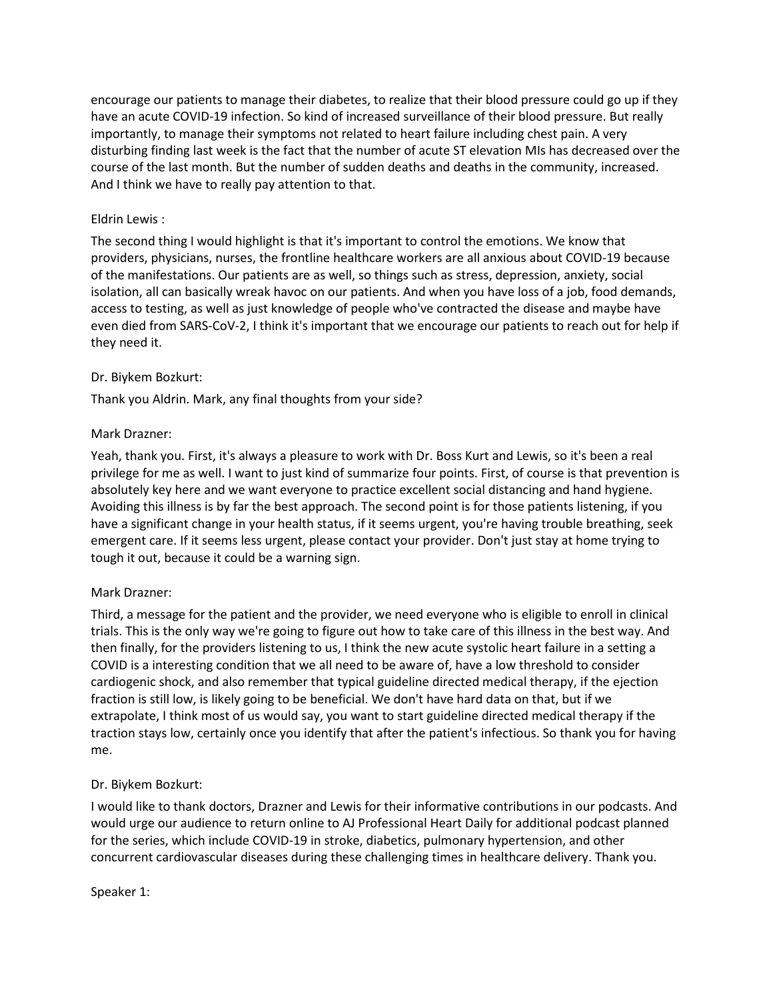encourage our patients to manage their diabetes, to realize that their blood pressure could go up if they have an acute COVID-19 infection. So kind of increased surveillance of their blood pressure. But really importantly, to manage their symptoms not related to heart failure including chest pain. A very disturbing finding last week is the fact that the number of acute ST elevation MIs has decreased over the course of the last month. But the number of sudden deaths and deaths in the community, increased. And I think we have to really pay attention to that.

## Eldrin Lewis :

The second thing I would highlight is that it's important to control the emotions. We know that providers, physicians, nurses, the frontline healthcare workers are all anxious about COVID-19 because of the manifestations. Our patients are as well, so things such as stress, depression, anxiety, social isolation, all can basically wreak havoc on our patients. And when you have loss of a job, food demands, access to testing, as well as just knowledge of people who've contracted the disease and maybe have even died from SARS-CoV-2, I think it's important that we encourage our patients to reach out for help if they need it.

## Dr. Biykem Bozkurt:

Thank you Aldrin. Mark, any final thoughts from your side?

## Mark Drazner:

Yeah, thank you. First, it's always a pleasure to work with Dr. Boss Kurt and Lewis, so it's been a real privilege for me as well. I want to just kind of summarize four points. First, of course is that prevention is absolutely key here and we want everyone to practice excellent social distancing and hand hygiene. Avoiding this illness is by far the best approach. The second point is for those patients listening, if you have a significant change in your health status, if it seems urgent, you're having trouble breathing, seek emergent care. If it seems less urgent, please contact your provider. Don't just stay at home trying to tough it out, because it could be a warning sign.

## Mark Drazner:

Third, a message for the patient and the provider, we need everyone who is eligible to enroll in clinical trials. This is the only way we're going to figure out how to take care of this illness in the best way. And then finally, for the providers listening to us, I think the new acute systolic heart failure in a setting a COVID is a interesting condition that we all need to be aware of, have a low threshold to consider cardiogenic shock, and also remember that typical guideline directed medical therapy, if the ejection fraction is still low, is likely going to be beneficial. We don't have hard data on that, but if we extrapolate, I think most of us would say, you want to start guideline directed medical therapy if the traction stays low, certainly once you identify that after the patient's infectious. So thank you for having me.

# Dr. Biykem Bozkurt:

I would like to thank doctors, Drazner and Lewis for their informative contributions in our podcasts. And would urge our audience to return online to AJ Professional Heart Daily for additional podcast planned for the series, which include COVID-19 in stroke, diabetics, pulmonary hypertension, and other concurrent cardiovascular diseases during these challenging times in healthcare delivery. Thank you.

Speaker 1: